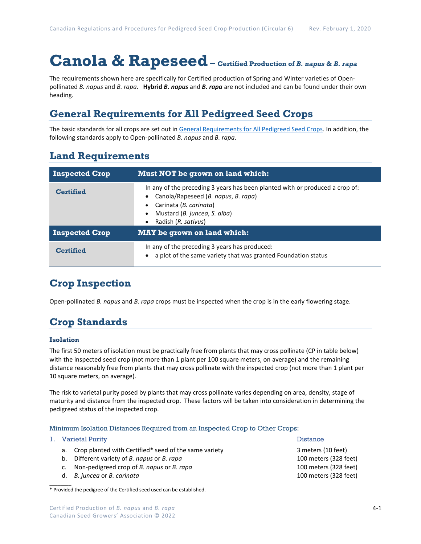# **Canola & Rapeseed– Certified Production of** *B. napus* **&** *B. rapa*

The requirements shown here are specifically for Certified production of Spring and Winter varieties of Openpollinated *B. napus* and *B. rapa*. **Hybrid** *B. napus* and *B. rapa* are not included and can be found under their own heading.

### **General Requirements for All Pedigreed Seed Crops**

The basic standards for all crops are set out i[n General Requirements for All Pedigreed Seed](https://seedgrowers.ca/wp-content/uploads/2020/01/GENERAL-REQUIREMENTS-ALL-CROPS_EN.pdf) Crops. In addition, the following standards apply to Open-pollinated *B. napus* and *B. rapa*.

### **Land Requirements**

| <b>Inspected Crop</b> | Must NOT be grown on land which:                                                                                                                                                                     |  |  |  |
|-----------------------|------------------------------------------------------------------------------------------------------------------------------------------------------------------------------------------------------|--|--|--|
| <b>Certified</b>      | In any of the preceding 3 years has been planted with or produced a crop of:<br>Canola/Rapeseed (B. napus, B. rapa)<br>Carinata (B. carinata)<br>Mustard (B. juncea, S. alba)<br>Radish (R. sativus) |  |  |  |
| <b>Inspected Crop</b> | <b>MAY</b> be grown on land which:                                                                                                                                                                   |  |  |  |
| <b>Certified</b>      | In any of the preceding 3 years has produced:<br>a plot of the same variety that was granted Foundation status                                                                                       |  |  |  |

### **Crop Inspection**

Open-pollinated *B. napus* and *B. rapa* crops must be inspected when the crop is in the early flowering stage.

## **Crop Standards**

#### **Isolation**

The first 50 meters of isolation must be practically free from plants that may cross pollinate (CP in table below) with the inspected seed crop (not more than 1 plant per 100 square meters, on average) and the remaining distance reasonably free from plants that may cross pollinate with the inspected crop (not more than 1 plant per 10 square meters, on average).

The risk to varietal purity posed by plants that may cross pollinate varies depending on area, density, stage of maturity and distance from the inspected crop. These factors will be taken into consideration in determining the pedigreed status of the inspected crop.

#### Minimum Isolation Distances Required from an Inspected Crop to Other Crops:

|    | 1. Varietal Purity                                       | <b>Distance</b>       |  |
|----|----------------------------------------------------------|-----------------------|--|
|    | a. Crop planted with Certified* seed of the same variety | 3 meters (10 feet)    |  |
| b. | Different variety of B. napus or B. rapa                 | 100 meters (328 feet) |  |
|    | Non-pedigreed crop of B. napus or B. rapa                | 100 meters (328 feet) |  |
|    | d. B. juncea or B. carinata                              | 100 meters (328 feet) |  |
|    |                                                          |                       |  |

<sup>\*</sup> Provided the pedigree of the Certified seed used can be established.